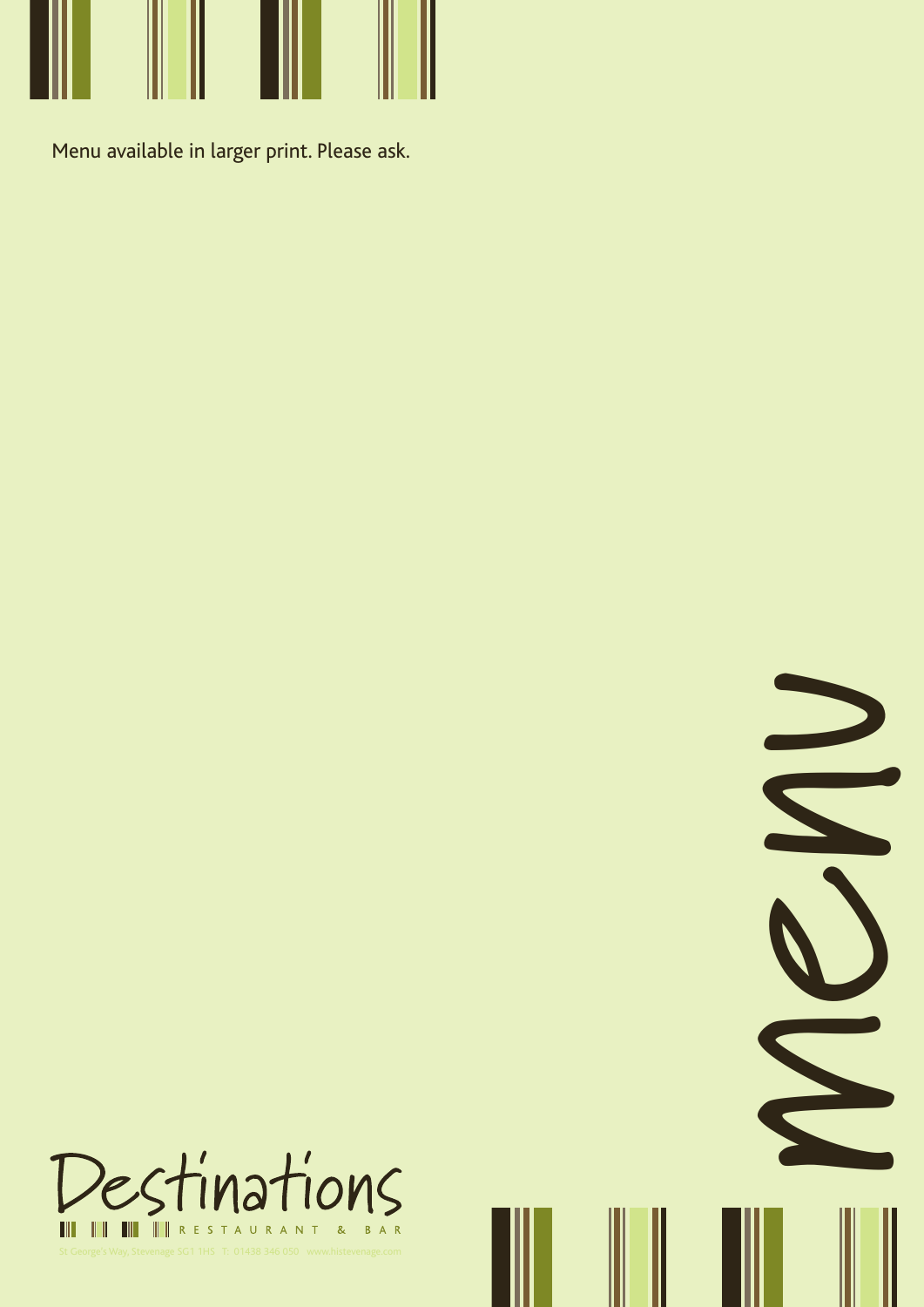

Menu available in larger print. Please ask.



m

e

N

 $\sum$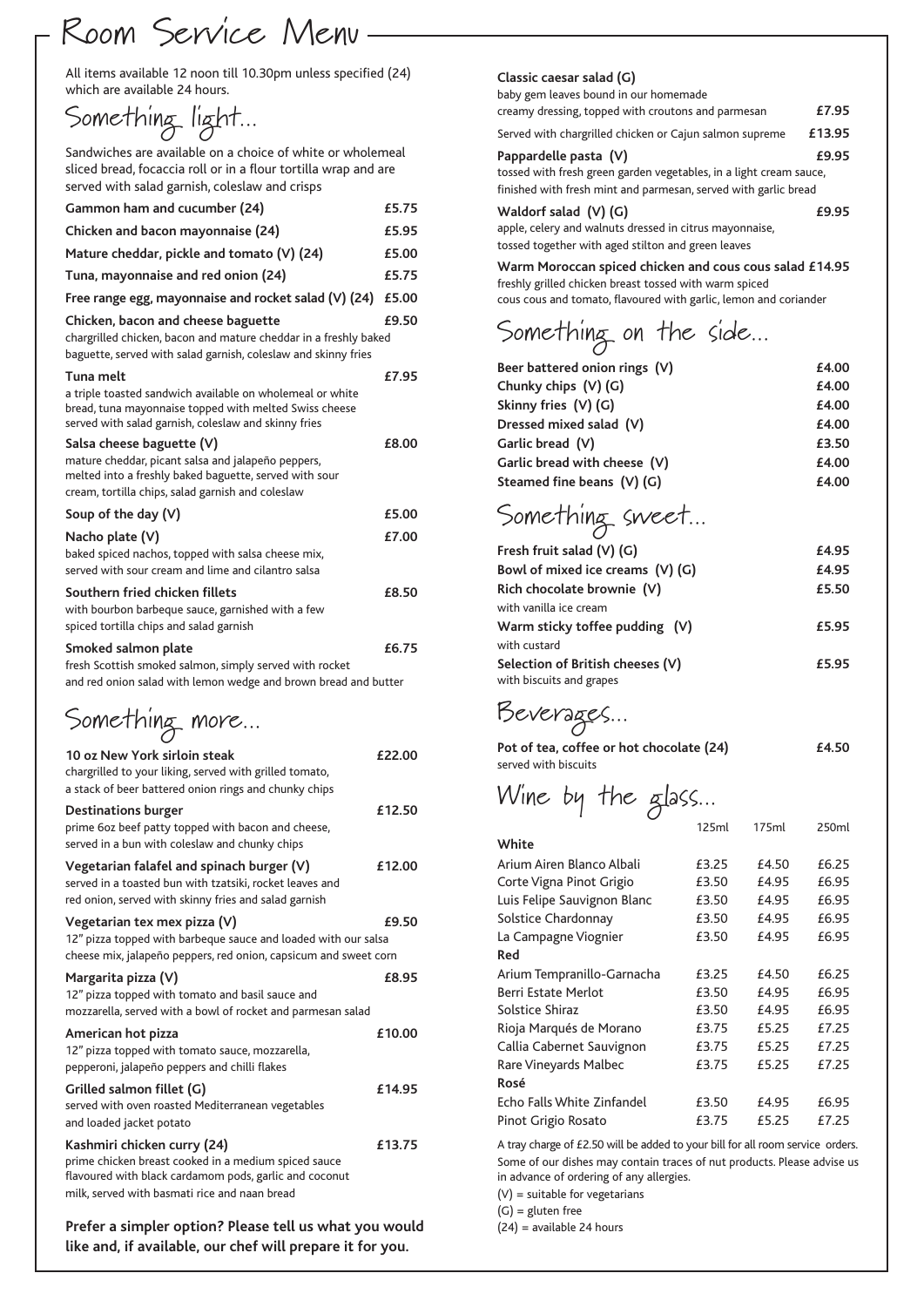#### Room Service Menu

All items available 12 noon till 10.30pm unless specified (24) which are available 24 hours.

Something light...

Sandwiches are available on a choice of white or wholemeal sliced bread, focaccia roll or in a flour tortilla wrap and are served with salad garnish, coleslaw and crisps

| Gammon ham and cucumber (24)                                                                                                                                                                               | £5.75  |
|------------------------------------------------------------------------------------------------------------------------------------------------------------------------------------------------------------|--------|
| Chicken and bacon mayonnaise (24)                                                                                                                                                                          | £5.95  |
| Mature cheddar, pickle and tomato (V) (24)                                                                                                                                                                 | £5.00  |
| Tuna, mayonnaise and red onion (24)                                                                                                                                                                        | £5.75  |
| Free range egg, mayonnaise and rocket salad (V) (24)                                                                                                                                                       | £5.00  |
| Chicken, bacon and cheese baguette<br>chargrilled chicken, bacon and mature cheddar in a freshly baked<br>baguette, served with salad garnish, coleslaw and skinny fries                                   | £9.50  |
| Tuna melt<br>a triple toasted sandwich available on wholemeal or white<br>bread, tuna mayonnaise topped with melted Swiss cheese<br>served with salad garnish, coleslaw and skinny fries                   | £7.95  |
| Salsa cheese baguette (V)<br>mature cheddar, picant salsa and jalapeño peppers,<br>melted into a freshly baked baguette, served with sour<br>cream, tortilla chips, salad garnish and coleslaw             | £8.00  |
| Soup of the day $(V)$                                                                                                                                                                                      | £5.00  |
| Nacho plate (V)<br>baked spiced nachos, topped with salsa cheese mix,<br>served with sour cream and lime and cilantro salsa                                                                                | £7.00  |
| Southern fried chicken fillets<br>with bourbon barbeque sauce, garnished with a few<br>spiced tortilla chips and salad garnish                                                                             | £8.50  |
| Smoked salmon plate<br>fresh Scottish smoked salmon, simply served with rocket<br>and red onion salad with lemon wedge and brown bread and butter                                                          | £6.75  |
|                                                                                                                                                                                                            |        |
| Something more                                                                                                                                                                                             |        |
| 10 oz New York sirloin steak<br>chargrilled to your liking, served with grilled tomato,<br>a stack of beer battered onion rings and chunky chips                                                           | £22.00 |
| <b>Destinations burger</b><br>prime 60z beef patty topped with bacon and cheese,<br>served in a bun with coleslaw and chunky chips                                                                         | £12.50 |
| Vegetarian falafel and spinach burger (V)<br>served in a toasted bun with tzatsiki, rocket leaves and<br>red onion, served with skinny fries and salad garnish                                             | £12.00 |
| Vegetarian tex mex pizza (V)<br>12" pizza topped with barbeque sauce and loaded with our salsa                                                                                                             | £9.50  |
| cheese mix, jalapeño peppers, red onion, capsicum and sweet corn<br>Margarita pizza (V)<br>12" pizza topped with tomato and basil sauce and<br>mozzarella, served with a bowl of rocket and parmesan salad | £8.95  |
| American hot pizza<br>12" pizza topped with tomato sauce, mozzarella,<br>pepperoni, jalapeño peppers and chilli flakes                                                                                     | £10.00 |
| Grilled salmon fillet (G)<br>served with oven roasted Mediterranean vegetables<br>and loaded jacket potato                                                                                                 | £14.95 |

**Prefer a simpler option? Please tell us what you would like and, if available, our chef will prepare it for you.**

#### **Classic caesar salad (G)**

baby gem leaves bound in our homemade creamy dressing, topped with croutons and parmesan **£7.95** Served with chargrilled chicken or Cajun salmon supreme **£13.95 Pappardelle pasta (V) £9.95** tossed with fresh green garden vegetables, in a light cream sauce, finished with fresh mint and parmesan, served with garlic bread

**Waldorf salad (V) (G) £9.95** apple, celery and walnuts dressed in citrus mayonnaise,

tossed together with aged stilton and green leaves

**Warm Moroccan spiced chicken and cous cous salad £14.95** freshly grilled chicken breast tossed with warm spiced cous cous and tomato, flavoured with garlic, lemon and coriander

#### Something on the side...

| Beer battered onion rings (V)    | £4.00 |
|----------------------------------|-------|
| Chunky chips (V) (G)             | £4.00 |
| Skinny fries $(V)$ (G)           | £4.00 |
| Dressed mixed salad (V)          | £4.00 |
| Garlic bread (V)                 | £3.50 |
| Garlic bread with cheese (V)     | £4.00 |
| Steamed fine beans (V) (G)       | £4.00 |
| Something sweet                  |       |
| Fresh fruit salad (V) (G)        | £4.95 |
| Bowl of mixed ice creams (V) (G) | £4.95 |
| Rich chocolate brownie (V)       | £5.50 |
| with vanilla ice cream           |       |
| Warm sticky toffee pudding (V)   | £5.95 |
| with custard                     |       |
| Selection of British cheeses (V) | £5.95 |
| with biscuits and grapes         |       |

Beverages...

| Pot of tea, coffee or hot chocolate (24) | £4.50 |
|------------------------------------------|-------|
| served with biscuits                     |       |

## Wine by the glass...

|                             | 125ml | 175ml | 250ml |
|-----------------------------|-------|-------|-------|
| White                       |       |       |       |
| Arium Airen Blanco Albali   | £3.25 | £4.50 | £6.25 |
| Corte Vigna Pinot Grigio    | £3.50 | £4.95 | £6.95 |
| Luis Felipe Sauvignon Blanc | £3.50 | £4.95 | £6.95 |
| Solstice Chardonnay         | £3.50 | £4.95 | £6.95 |
| La Campagne Viognier        | £3.50 | £4.95 | £6.95 |
| Red                         |       |       |       |
| Arium Tempranillo-Garnacha  | £3.25 | £4.50 | £6.25 |
| Berri Estate Merlot         | £3.50 | £4.95 | £6.95 |
| Solstice Shiraz             | £3.50 | £4.95 | £6.95 |
| Rioja Marqués de Morano     | £3.75 | £5.25 | £7.25 |
| Callia Cabernet Sauvignon   | £3.75 | £5.25 | £7.25 |
| Rare Vineyards Malbec       | £3.75 | £5.25 | £7.25 |
| Rosé                        |       |       |       |
| Echo Falls White Zinfandel  | £3.50 | £4.95 | £6.95 |
| Pinot Grigio Rosato         | £3.75 | £5.25 | £7.25 |
|                             |       |       |       |

A tray charge of £2.50 will be added to your bill for all room service orders. Some of our dishes may contain traces of nut products. Please advise us in advance of ordering of any allergies.

(V) = suitable for vegetarians

(G) = gluten free

(24) = available 24 hours